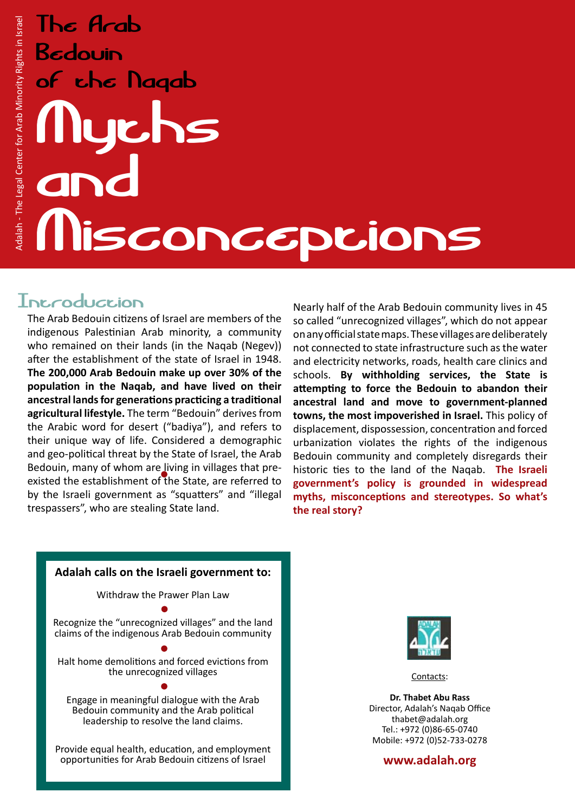# The Arab Bedouin of the Naqab Myths and Misconceptions

## Introduction

The Arab Bedouin citizens of Israel are members of the indigenous Palestinian Arab minority, a community who remained on their lands (in the Naqab (Negev)) after the establishment of the state of Israel in 1948. **The 200,000 Arab Bedouin make up over 30% of the population in the Naqab, and have lived on their ancestral lands for generations practicing a traditional agricultural lifestyle.** The term "Bedouin" derives from the Arabic word for desert ("badiya"), and refers to their unique way of life. Considered a demographic and geo-political threat by the State of Israel, the Arab Bedouin, many of whom are living in villages that preexisted the establishment of the State, are referred to by the Israeli government as "squatters" and "illegal trespassers", who are stealing State land.

Nearly half of the Arab Bedouin community lives in 45 so called "unrecognized villages", which do not appear on any official state maps. These villages are deliberately not connected to state infrastructure such as the water and electricity networks, roads, health care clinics and schools. **By withholding services, the State is attempting to force the Bedouin to abandon their ancestral land and move to government-planned towns, the most impoverished in Israel.** This policy of displacement, dispossession, concentration and forced urbanization violates the rights of the indigenous Bedouin community and completely disregards their historic ties to the land of the Naqab. **The Israeli government's policy is grounded in widespread myths, misconceptions and stereotypes. So what's the real story?** 





Contacts:

**Dr. Thabet Abu Rass** Director, Adalah's Naqab Office thabet@adalah.org Tel.: +972 (0)86-65-0740 Mobile: +972 (0)52-733-0278

### **www.adalah.org**